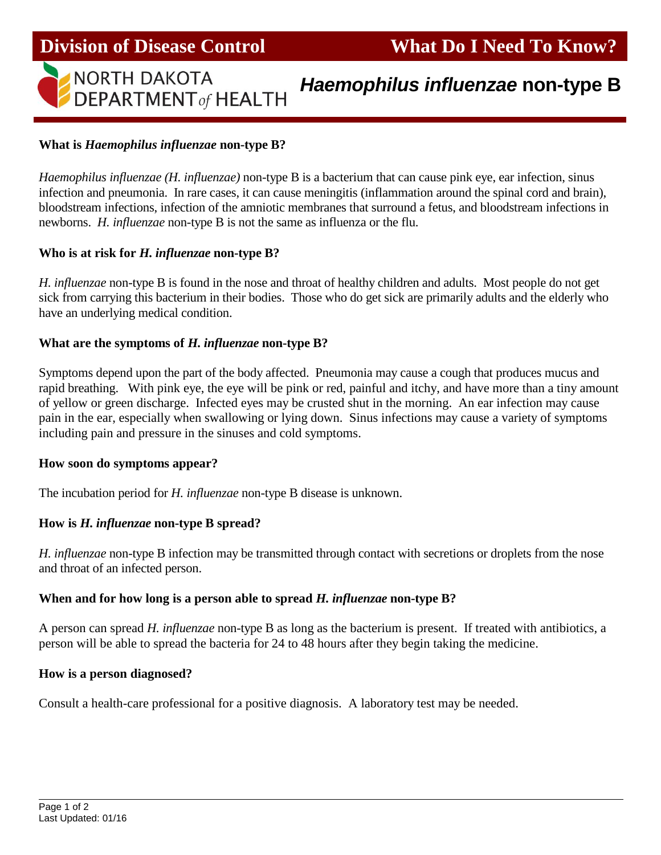

# *Haemophilus influenzae* **non-type B**

## **What is** *Haemophilus influenzae* **non-type B?**

*Haemophilus influenzae (H. influenzae)* non-type B is a bacterium that can cause pink eye, ear infection, sinus infection and pneumonia. In rare cases, it can cause meningitis (inflammation around the spinal cord and brain), bloodstream infections, infection of the amniotic membranes that surround a fetus, and bloodstream infections in newborns. *H. influenzae* non-type B is not the same as influenza or the flu.

#### **Who is at risk for** *H. influenzae* **non-type B?**

*H. influenzae* non-type B is found in the nose and throat of healthy children and adults. Most people do not get sick from carrying this bacterium in their bodies. Those who do get sick are primarily adults and the elderly who have an underlying medical condition.

#### **What are the symptoms of** *H. influenzae* **non-type B?**

Symptoms depend upon the part of the body affected. Pneumonia may cause a cough that produces mucus and rapid breathing. With pink eye, the eye will be pink or red, painful and itchy, and have more than a tiny amount of yellow or green discharge. Infected eyes may be crusted shut in the morning. An ear infection may cause pain in the ear, especially when swallowing or lying down. Sinus infections may cause a variety of symptoms including pain and pressure in the sinuses and cold symptoms.

#### **How soon do symptoms appear?**

The incubation period for *H. influenzae* non-type B disease is unknown.

### **How is** *H. influenzae* **non-type B spread?**

*H. influenzae* non-type B infection may be transmitted through contact with secretions or droplets from the nose and throat of an infected person.

#### **When and for how long is a person able to spread** *H. influenzae* **non-type B?**

A person can spread *H. influenzae* non-type B as long as the bacterium is present. If treated with antibiotics, a person will be able to spread the bacteria for 24 to 48 hours after they begin taking the medicine.

#### **How is a person diagnosed?**

Consult a health-care professional for a positive diagnosis. A laboratory test may be needed.